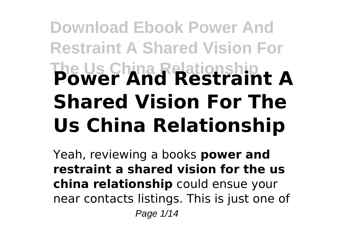# **Download Ebook Power And Restraint A Shared Vision For The Us China Relationship Power And Restraint A Shared Vision For The Us China Relationship**

Yeah, reviewing a books **power and restraint a shared vision for the us china relationship** could ensue your near contacts listings. This is just one of Page 1/14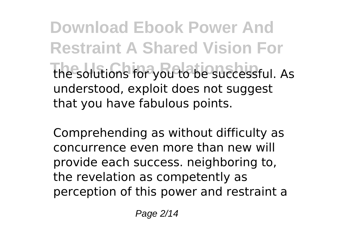**Download Ebook Power And Restraint A Shared Vision For The solutions for you to be successful. As** understood, exploit does not suggest that you have fabulous points.

Comprehending as without difficulty as concurrence even more than new will provide each success. neighboring to, the revelation as competently as perception of this power and restraint a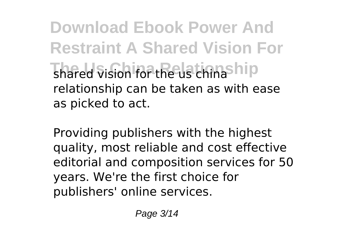**Download Ebook Power And Restraint A Shared Vision For** Thared vision for the Us thanship relationship can be taken as with ease as picked to act.

Providing publishers with the highest quality, most reliable and cost effective editorial and composition services for 50 years. We're the first choice for publishers' online services.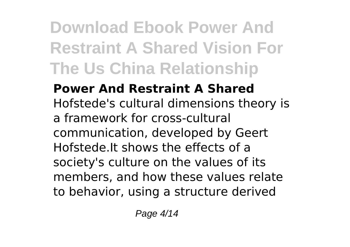**Power And Restraint A Shared** Hofstede's cultural dimensions theory is a framework for cross-cultural communication, developed by Geert Hofstede.It shows the effects of a society's culture on the values of its members, and how these values relate to behavior, using a structure derived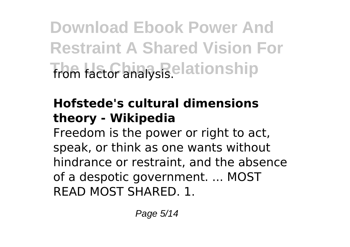**Download Ebook Power And Restraint A Shared Vision For from factor analysis.elationship** 

#### **Hofstede's cultural dimensions theory - Wikipedia**

Freedom is the power or right to act, speak, or think as one wants without hindrance or restraint, and the absence of a despotic government. ... MOST READ MOST SHARED. 1.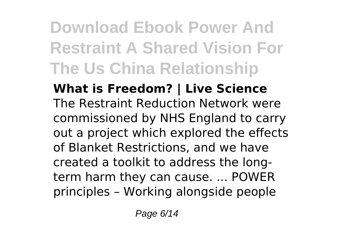#### **What is Freedom? | Live Science** The Restraint Reduction Network were commissioned by NHS England to carry out a project which explored the effects of Blanket Restrictions, and we have created a toolkit to address the longterm harm they can cause. ... POWER principles – Working alongside people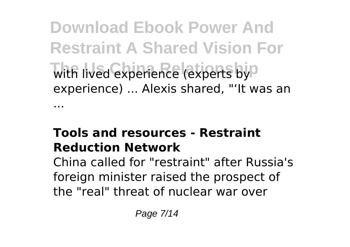**Download Ebook Power And Restraint A Shared Vision For** with lived experience (experts by<sup>0</sup> experience) ... Alexis shared, "'It was an ...

#### **Tools and resources - Restraint Reduction Network**

China called for "restraint" after Russia's foreign minister raised the prospect of the "real" threat of nuclear war over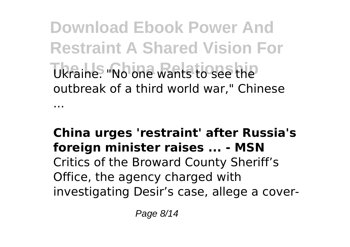**Download Ebook Power And Restraint A Shared Vision For The Us China Relationship** Ukraine. "No one wants to see the outbreak of a third world war," Chinese

...

#### **China urges 'restraint' after Russia's foreign minister raises ... - MSN** Critics of the Broward County Sheriff's Office, the agency charged with investigating Desir's case, allege a cover-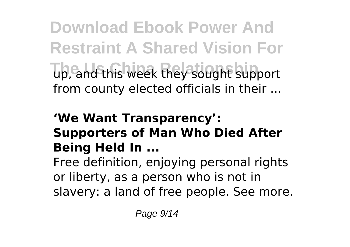**Download Ebook Power And Restraint A Shared Vision For The Us China Relationship** up, and this week they sought support from county elected officials in their ...

#### **'We Want Transparency': Supporters of Man Who Died After Being Held In ...**

Free definition, enjoying personal rights or liberty, as a person who is not in slavery: a land of free people. See more.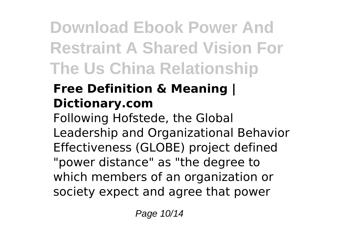### **Free Definition & Meaning | Dictionary.com**

Following Hofstede, the Global Leadership and Organizational Behavior Effectiveness (GLOBE) project defined "power distance" as "the degree to which members of an organization or society expect and agree that power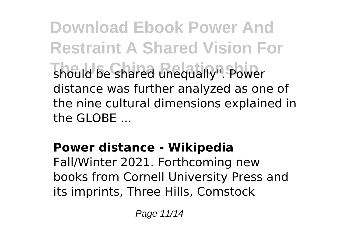**Download Ebook Power And Restraint A Shared Vision For The Us Chared unequally". Power** distance was further analyzed as one of the nine cultural dimensions explained in the GLOBE ...

### **Power distance - Wikipedia**

Fall/Winter 2021. Forthcoming new books from Cornell University Press and its imprints, Three Hills, Comstock

Page 11/14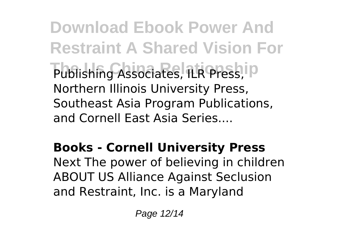**Download Ebook Power And Restraint A Shared Vision For** Publishing Associates, ILR Press, ID Northern Illinois University Press, Southeast Asia Program Publications, and Cornell East Asia Series....

### **Books - Cornell University Press**

Next The power of believing in children ABOUT US Alliance Against Seclusion and Restraint, Inc. is a Maryland

Page 12/14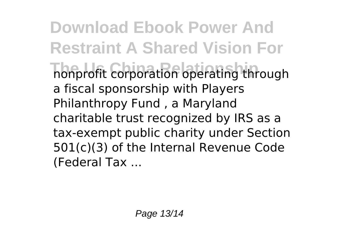**Download Ebook Power And Restraint A Shared Vision For The Us China Relationship** nonprofit corporation operating through a fiscal sponsorship with Players Philanthropy Fund , a Maryland charitable trust recognized by IRS as a tax-exempt public charity under Section 501(c)(3) of the Internal Revenue Code (Federal Tax ...